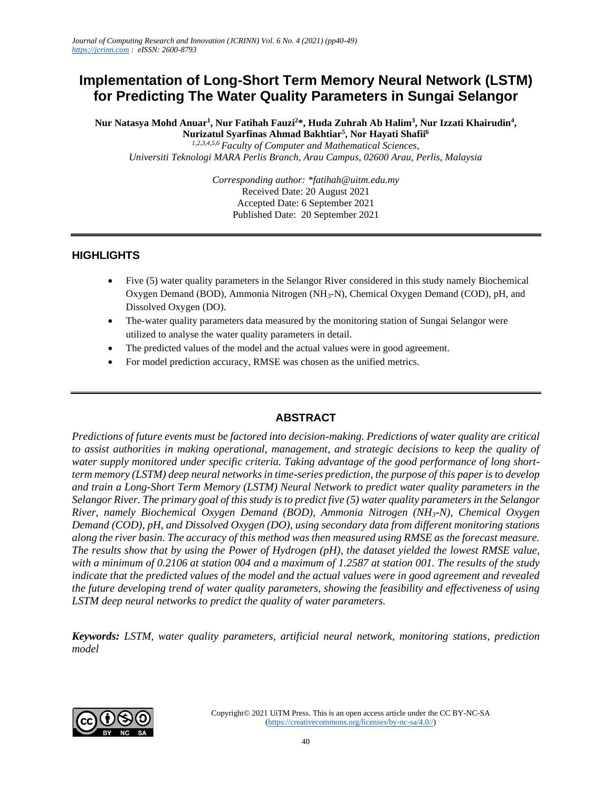# **Implementation of Long-Short Term Memory Neural Network (LSTM) for Predicting The Water Quality Parameters in Sungai Selangor**

**Nur Natasya Mohd Anuar<sup>1</sup> , Nur Fatihah Fauzi<sup>2</sup>\*, Huda Zuhrah Ab Halim<sup>3</sup> , Nur Izzati Khairudin<sup>4</sup> , Nurizatul Syarfinas Ahmad Bakhtiar<sup>5</sup> , Nor Hayati Shafii<sup>6</sup>**

*1,2,3,4,5,6 Faculty of Computer and Mathematical Sciences, Universiti Teknologi MARA Perlis Branch, Arau Campus, 02600 Arau, Perlis, Malaysia*

> *Corresponding author: \*fatihah@uitm.edu.my* Received Date: 20 August 2021 Accepted Date: 6 September 2021 Published Date: 20 September 2021

## **HIGHLIGHTS**

- Five (5) water quality parameters in the Selangor River considered in this study namely Biochemical Oxygen Demand (BOD), Ammonia Nitrogen (NH3-N), Chemical Oxygen Demand (COD), pH, and Dissolved Oxygen (DO).
- The-water quality parameters data measured by the monitoring station of Sungai Selangor were utilized to analyse the water quality parameters in detail.
- The predicted values of the model and the actual values were in good agreement.
- For model prediction accuracy, RMSE was chosen as the unified metrics.

## **ABSTRACT**

*Predictions of future events must be factored into decision-making. Predictions of water quality are critical to assist authorities in making operational, management, and strategic decisions to keep the quality of water supply monitored under specific criteria. Taking advantage of the good performance of long shortterm memory (LSTM) deep neural networks in time-series prediction, the purpose of this paper is to develop and train a Long-Short Term Memory (LSTM) Neural Network to predict water quality parameters in the Selangor River. The primary goal of this study is to predict five (5) water quality parameters in the Selangor River, namely Biochemical Oxygen Demand (BOD), Ammonia Nitrogen (NH3-N), Chemical Oxygen Demand (COD), pH, and Dissolved Oxygen (DO), using secondary data from different monitoring stations along the river basin. The accuracy of this method was then measured using RMSE as the forecast measure. The results show that by using the Power of Hydrogen (pH), the dataset yielded the lowest RMSE value, with a minimum of 0.2106 at station 004 and a maximum of 1.2587 at station 001. The results of the study indicate that the predicted values of the model and the actual values were in good agreement and revealed the future developing trend of water quality parameters, showing the feasibility and effectiveness of using LSTM deep neural networks to predict the quality of water parameters.*

*Keywords: LSTM, water quality parameters, artificial neural network, monitoring stations, prediction model*

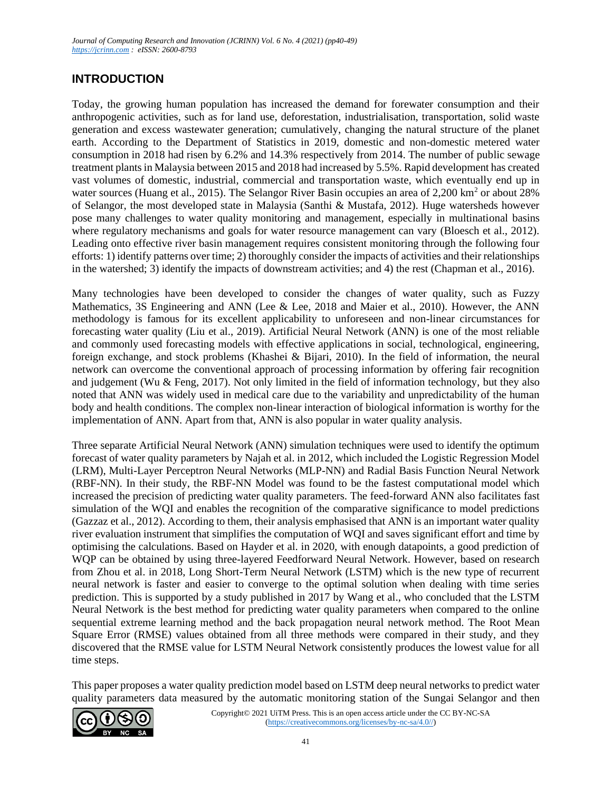## **INTRODUCTION**

Today, the growing human population has increased the demand for forewater consumption and their anthropogenic activities, such as for land use, deforestation, industrialisation, transportation, solid waste generation and excess wastewater generation; cumulatively, changing the natural structure of the planet earth. According to the Department of Statistics in 2019, domestic and non-domestic metered water consumption in 2018 had risen by 6.2% and 14.3% respectively from 2014. The number of public sewage treatment plants in Malaysia between 2015 and 2018 had increased by 5.5%. Rapid development has created vast volumes of domestic, industrial, commercial and transportation waste, which eventually end up in water sources (Huang et al., 2015). The Selangor River Basin occupies an area of 2,200 km<sup>2</sup> or about 28% of Selangor, the most developed state in Malaysia (Santhi & Mustafa, 2012). Huge watersheds however pose many challenges to water quality monitoring and management, especially in multinational basins where regulatory mechanisms and goals for water resource management can vary (Bloesch et al., 2012). Leading onto effective river basin management requires consistent monitoring through the following four efforts: 1) identify patterns over time; 2) thoroughly consider the impacts of activities and their relationships in the watershed; 3) identify the impacts of downstream activities; and 4) the rest (Chapman et al., 2016).

Many technologies have been developed to consider the changes of water quality, such as Fuzzy Mathematics, 3S Engineering and ANN (Lee & Lee, 2018 and Maier et al., 2010). However, the ANN methodology is famous for its excellent applicability to unforeseen and non-linear circumstances for forecasting water quality (Liu et al., 2019). Artificial Neural Network (ANN) is one of the most reliable and commonly used forecasting models with effective applications in social, technological, engineering, foreign exchange, and stock problems (Khashei & Bijari, 2010). In the field of information, the neural network can overcome the conventional approach of processing information by offering fair recognition and judgement (Wu & Feng, 2017). Not only limited in the field of information technology, but they also noted that ANN was widely used in medical care due to the variability and unpredictability of the human body and health conditions. The complex non-linear interaction of biological information is worthy for the implementation of ANN. Apart from that, ANN is also popular in water quality analysis.

Three separate Artificial Neural Network (ANN) simulation techniques were used to identify the optimum forecast of water quality parameters by Najah et al. in 2012, which included the Logistic Regression Model (LRM), Multi-Layer Perceptron Neural Networks (MLP-NN) and Radial Basis Function Neural Network (RBF-NN). In their study, the RBF-NN Model was found to be the fastest computational model which increased the precision of predicting water quality parameters. The feed-forward ANN also facilitates fast simulation of the WQI and enables the recognition of the comparative significance to model predictions (Gazzaz et al., 2012). According to them, their analysis emphasised that ANN is an important water quality river evaluation instrument that simplifies the computation of WQI and saves significant effort and time by optimising the calculations. Based on Hayder et al. in 2020, with enough datapoints, a good prediction of WQP can be obtained by using three-layered Feedforward Neural Network. However, based on research from Zhou et al. in 2018, Long Short-Term Neural Network (LSTM) which is the new type of recurrent neural network is faster and easier to converge to the optimal solution when dealing with time series prediction. This is supported by a study published in 2017 by Wang et al., who concluded that the LSTM Neural Network is the best method for predicting water quality parameters when compared to the online sequential extreme learning method and the back propagation neural network method. The Root Mean Square Error (RMSE) values obtained from all three methods were compared in their study, and they discovered that the RMSE value for LSTM Neural Network consistently produces the lowest value for all time steps.

This paper proposes a water quality prediction model based on LSTM deep neural networks to predict water quality parameters data measured by the automatic monitoring station of the Sungai Selangor and then

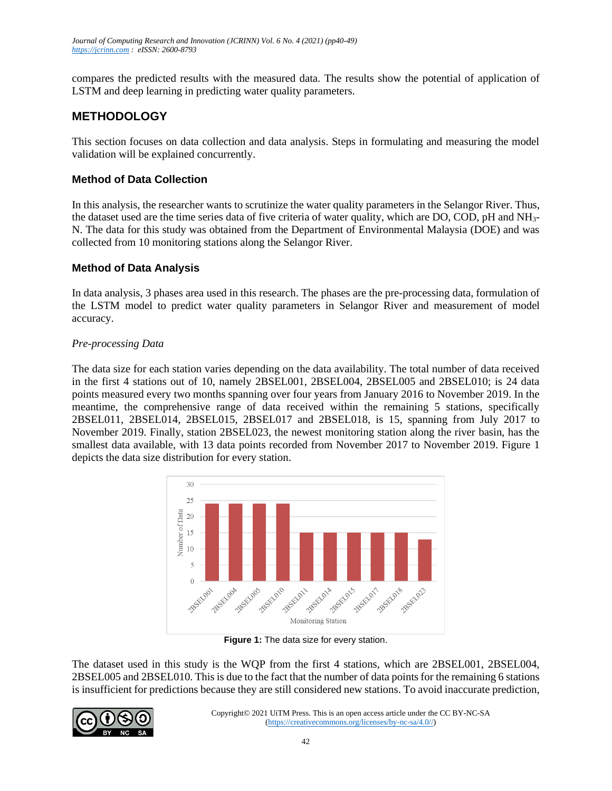compares the predicted results with the measured data. The results show the potential of application of LSTM and deep learning in predicting water quality parameters.

## **METHODOLOGY**

This section focuses on data collection and data analysis. Steps in formulating and measuring the model validation will be explained concurrently.

## **Method of Data Collection**

In this analysis, the researcher wants to scrutinize the water quality parameters in the Selangor River. Thus, the dataset used are the time series data of five criteria of water quality, which are DO, COD, pH and NH3- N. The data for this study was obtained from the Department of Environmental Malaysia (DOE) and was collected from 10 monitoring stations along the Selangor River.

## **Method of Data Analysis**

In data analysis, 3 phases area used in this research. The phases are the pre-processing data, formulation of the LSTM model to predict water quality parameters in Selangor River and measurement of model accuracy.

## *Pre-processing Data*

The data size for each station varies depending on the data availability. The total number of data received in the first 4 stations out of 10, namely 2BSEL001, 2BSEL004, 2BSEL005 and 2BSEL010; is 24 data points measured every two months spanning over four years from January 2016 to November 2019. In the meantime, the comprehensive range of data received within the remaining 5 stations, specifically 2BSEL011, 2BSEL014, 2BSEL015, 2BSEL017 and 2BSEL018, is 15, spanning from July 2017 to November 2019. Finally, station 2BSEL023, the newest monitoring station along the river basin, has the smallest data available, with 13 data points recorded from November 2017 to November 2019. Figure 1 depicts the data size distribution for every station.



**Figure 1:** The data size for every station.

The dataset used in this study is the WQP from the first 4 stations, which are 2BSEL001, 2BSEL004, 2BSEL005 and 2BSEL010. This is due to the fact that the number of data points for the remaining 6 stations is insufficient for predictions because they are still considered new stations. To avoid inaccurate prediction,

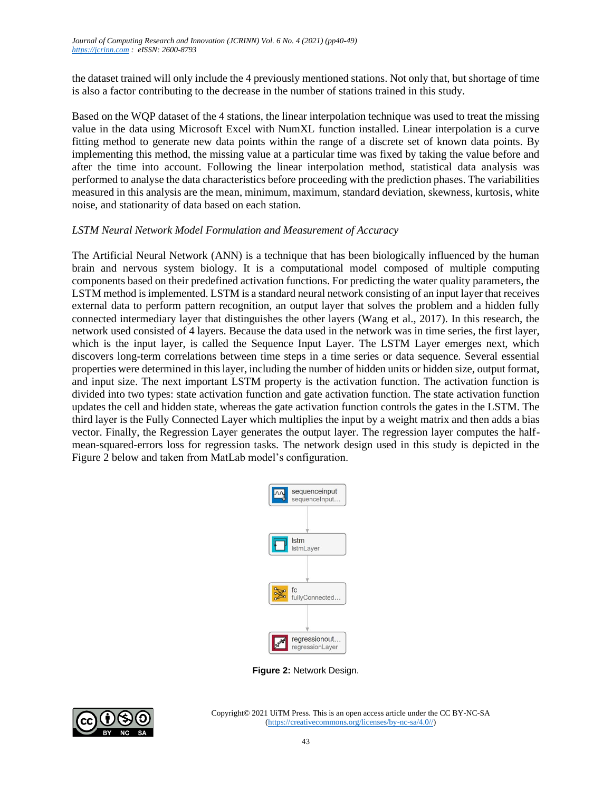the dataset trained will only include the 4 previously mentioned stations. Not only that, but shortage of time is also a factor contributing to the decrease in the number of stations trained in this study.

Based on the WQP dataset of the 4 stations, the linear interpolation technique was used to treat the missing value in the data using Microsoft Excel with NumXL function installed. Linear interpolation is a curve fitting method to generate new data points within the range of a discrete set of known data points. By implementing this method, the missing value at a particular time was fixed by taking the value before and after the time into account. Following the linear interpolation method, statistical data analysis was performed to analyse the data characteristics before proceeding with the prediction phases. The variabilities measured in this analysis are the mean, minimum, maximum, standard deviation, skewness, kurtosis, white noise, and stationarity of data based on each station.

#### *LSTM Neural Network Model Formulation and Measurement of Accuracy*

The Artificial Neural Network (ANN) is a technique that has been biologically influenced by the human brain and nervous system biology. It is a computational model composed of multiple computing components based on their predefined activation functions. For predicting the water quality parameters, the LSTM method is implemented. LSTM is a standard neural network consisting of an input layer that receives external data to perform pattern recognition, an output layer that solves the problem and a hidden fully connected intermediary layer that distinguishes the other layers (Wang et al., 2017). In this research, the network used consisted of 4 layers. Because the data used in the network was in time series, the first layer, which is the input layer, is called the Sequence Input Layer. The LSTM Layer emerges next, which discovers long-term correlations between time steps in a time series or data sequence. Several essential properties were determined in this layer, including the number of hidden units or hidden size, output format, and input size. The next important LSTM property is the activation function. The activation function is divided into two types: state activation function and gate activation function. The state activation function updates the cell and hidden state, whereas the gate activation function controls the gates in the LSTM. The third layer is the Fully Connected Layer which multiplies the input by a weight matrix and then adds a bias vector. Finally, the Regression Layer generates the output layer. The regression layer computes the halfmean-squared-errors loss for regression tasks. The network design used in this study is depicted in the Figure 2 below and taken from MatLab model's configuration.



**Figure 2:** Network Design.

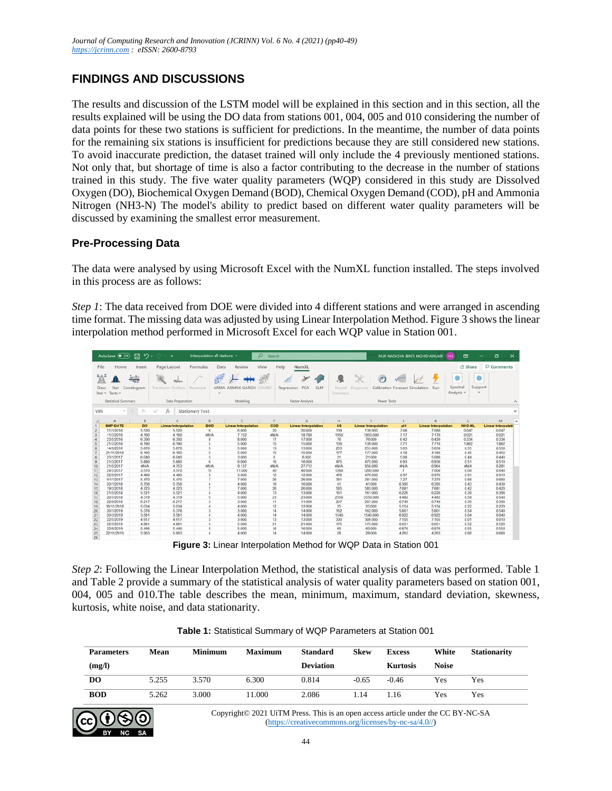## **FINDINGS AND DISCUSSIONS**

The results and discussion of the LSTM model will be explained in this section and in this section, all the results explained will be using the DO data from stations 001, 004, 005 and 010 considering the number of data points for these two stations is sufficient for predictions. In the meantime, the number of data points for the remaining six stations is insufficient for predictions because they are still considered new stations. To avoid inaccurate prediction, the dataset trained will only include the 4 previously mentioned stations. Not only that, but shortage of time is also a factor contributing to the decrease in the number of stations trained in this study. The five water quality parameters (WQP) considered in this study are Dissolved Oxygen (DO), Biochemical Oxygen Demand (BOD), Chemical Oxygen Demand (COD), pH and Ammonia Nitrogen (NH3-N) The model's ability to predict based on different water quality parameters will be discussed by examining the smallest error measurement.

## **Pre-Processing Data**

The data were analysed by using Microsoft Excel with the NumXL function installed. The steps involved in this process are as follows:

*Step 1*: The data received from DOE were divided into 4 different stations and were arranged in ascending time format. The missing data was adjusted by using Linear Interpolation Method. Figure 3 shows the linear interpolation method performed in Microsoft Excel for each WQP value in Station 001.

|                                  | AutoSave ( Of                          | 鳳<br>$\sim$                    | ÷.                                              | Interpolation all stations * | $\circ$                                                     | Search     |                                             |                    |                                |                                 | NUR NATASYA BINTI MOHD ANUAR NN | 囨                                                  | $\times$<br>σ      |
|----------------------------------|----------------------------------------|--------------------------------|-------------------------------------------------|------------------------------|-------------------------------------------------------------|------------|---------------------------------------------|--------------------|--------------------------------|---------------------------------|---------------------------------|----------------------------------------------------|--------------------|
| File                             | Home                                   | Insert                         | Page Layout                                     | Formulas                     | Data<br>Review<br>View                                      | Help       | NumXL                                       |                    |                                |                                 |                                 | <b>∆</b> Share                                     | Comments           |
| $\mathbb{A}$<br>Desc<br>$Stat -$ | Stat<br>Tests v<br>Statistical Summary | Correlogram                    | malan<br>Transform Outliers<br>Data Preparation | Resample                     | ARMA<br>ARMAX GARCH<br>$\overline{\phantom{a}}$<br>Modeling | OMRC       | PCA<br>GLM<br>Regression<br>Factor Analysis | Model<br>Detection | Diagnost<br><b>Power Tools</b> | Calibration Forecast Simulation | Run                             | $\circ$<br>Spectral<br>Support<br>Analysis v<br>×. |                    |
| V99                              |                                        | $\boldsymbol{\times}$<br>$-11$ | fx<br>✓                                         | <b>Stationary Test</b>       |                                                             |            |                                             |                    |                                |                                 |                                 |                                                    |                    |
|                                  | A                                      | $\mathbf{B}$                   | c                                               | D                            | F                                                           |            | G.                                          | H                  |                                |                                 | ĸ                               |                                                    | M                  |
|                                  | <b>SMP-DATE</b>                        | <b>DO</b>                      | <b>Linear Interpolation</b>                     | <b>BOD</b>                   | <b>Linear Interpolation</b>                                 | COD        | <b>Linear Interpolation</b>                 | <b>SS</b>          | <b>Linear Interpolation</b>    | pH                              | <b>Linear Interpolation</b>     | NH3-NL                                             | Linear Interpolati |
|                                  | 21/1/2016                              | 5.520                          | 5.520                                           | 6                            | 6.000                                                       | 20         | 20,000                                      | 139                | 139.000                        | 7.08                            | 7.080                           | 0.047                                              | 0.047              |
|                                  | 11/3/2016                              | 4.160                          | 4.160                                           | im/A                         | 7.152                                                       | <b>MNA</b> | 18.780                                      | 1950               | 1950.000                       | 7.17                            | 7.170                           | 0.021                                              | 0.021              |
|                                  | 23/5/2016                              | 6,300                          | 6.300                                           | $\mathbf R$                  | 8,000                                                       | 17         | 17.000                                      | 76                 | 76,000                         | 6.42                            | 6.420                           | 0.334                                              | 0.334              |
|                                  | 21/7/2016                              | 6.190                          | 6.190                                           |                              | 5.000                                                       | 15         | 15.000                                      | 139                | 139,000                        | 7.71                            | 7.710                           | 1.862                                              | 1.862              |
| -6                               | 14/9/2016                              | 5.870                          | 5.870                                           |                              | 5.000                                                       | 13         | 13,000                                      | 253                | 253,000                        | 5.63                            | 5630                            | 0.55                                               | 0.550              |
|                                  | 21/11/2016                             | 6.160                          | 6.160                                           | $\kappa$                     | 5.000                                                       | 15         | 15.000                                      | 177                | 177,000                        | 4.18                            | 4.180                           | 0.45                                               | 0.450              |
| 8                                | 23/1/2017                              | 6.040                          | 6.040                                           |                              | 3.000                                                       | 8          | 6.000                                       | 21                 | 21,000                         | 5.08                            | 5.080                           | 0.44                                               | 0.440              |
| $\overline{9}$                   | 21/3/2017                              | 5.880                          | 5.880                                           | B.                           | 6.000                                                       | 16         | 16.000                                      | 475                | 475.000                        | 6.93                            | 6.930                           | 0.51                                               | 0.510              |
| 10                               | 21/5/2017                              | <b>MNA</b>                     | 4.753                                           | <b>mNA</b>                   | 9.137                                                       | <b>MNA</b> | 27.712                                      | <b>WNA</b>         | 858,080                        | <b>SYSTE</b>                    | 6.964                           | <b>MNA</b>                                         | 0.281              |
| 11                               | 24/7/2017                              | 3.570                          | 3.570                                           | 11                           | 11,000                                                      | 40         | 40,000                                      | 1260               | 1260 000                       | $\mathcal{I}$                   | 7.000                           | 0.04                                               | 0.040              |
| 12                               | 22/9/2017                              | 4,480                          | 4.480                                           |                              | 3.000                                                       | 12         | 12.000                                      | 478                | 478,000                        | 6.97                            | 6.970                           | 0.91                                               | 0.910              |
| 13                               | 9/11/2017                              | 5.470                          | 5.470                                           |                              | 7,000                                                       | 26         | 26,000                                      | 381                | 381,000                        | 7.27                            | 7.270                           | 0.68                                               | 0.680              |
| 14                               | 20/1/2018                              | 5.756                          | 5.756                                           |                              | 4.000                                                       | 16         | 16.000                                      | 41                 | 41.000                         | 6.395                           | 6.395                           | 0.43                                               | 0.430              |
| 15                               | 19/3/2018                              | 4.723                          | 4.723                                           |                              | 7,000                                                       | 26         | 26,000                                      | 585                | 585,000                        | 7.681                           | 7.681                           | 0.42                                               | 0.420              |
| 16                               | 21/5/2018                              | 5.521                          | 5.521                                           |                              | 4.000                                                       | 13         | 13.000                                      | 161                | 161,000                        | 6.226                           | 6.226                           | 0.39                                               | 0.390              |
| 17                               | 20/7/2018                              | 4.319                          | 4.319                                           |                              | 5.000                                                       | 23         | 23,000                                      | 2550               | 2550.000                       | 4 4 8 2                         | 4 4 8 2                         | 0.54                                               | 0.540              |
| 18                               | 229/2018                               | 6.217                          | 6.217                                           |                              | 3.000                                                       | 11         | 11.000                                      | 207                | 207,000                        | 6.749                           | 6.749                           | 0.39                                               | 0.390              |
| 19                               | 18/11/2018                             | 5.034                          | 5.034                                           |                              | 4.000                                                       | 12         | 12.000                                      | 25                 | 25,000                         | 5.154                           | 5.154                           | 0.22                                               | 0.220              |
| 20                               | 20/1/2019                              | 5.378                          | 5.378                                           |                              | 3.000                                                       | 14         | 14.000                                      | 162                | 162,000                        | 5.801                           | 5.801                           | 0.54                                               | 0.540              |
| 21                               | 20/3/2019                              | 3,581                          | 3.581                                           |                              | 4.000                                                       | 14         | 14,000                                      | 1540               | 1540.000                       | 6.922                           | 6.922                           | 0.04                                               | 0.040              |
| 22                               | 22/5/2019                              | 4917                           | 4.917                                           |                              | 3.000                                                       | 13         | 13.000                                      | 300                | 300.000                        | 7.105                           | 7.105                           | 0.01                                               | 0.010              |
| 23                               | 22/7/2019                              | 4.881                          | 4.881                                           |                              | 5.000                                                       | 21         | 21.000                                      | 175                | 175.000                        | 6.651                           | 6651                            | 0.52                                               | 0.520              |
| 24                               | 22/9/2019                              | 5.446                          | 5.446                                           |                              | 5.000                                                       | 16         | 16.000                                      | 60                 | 60,000                         | 6.876                           | 6.876                           | 0.55                                               | 0.550              |
| 25<br>26                         | 22/11/2019                             | 5.963                          | 5.963                                           |                              | 4.000                                                       | 14         | 14.000                                      | 28                 | 28,000                         | 4.263                           | 4.263                           | 0.68                                               | 0.680              |

**Figure 3:** Linear Interpolation Method for WQP Data in Station 001

*Step 2*: Following the Linear Interpolation Method, the statistical analysis of data was performed. Table 1 and Table 2 provide a summary of the statistical analysis of water quality parameters based on station 001, 004, 005 and 010.The table describes the mean, minimum, maximum, standard deviation, skewness, kurtosis, white noise, and data stationarity.

| <b>Parameters</b> | Mean  | <b>Minimum</b> | <b>Maximum</b> | <b>Standard</b>  | <b>Skew</b> | <b>Excess</b>   | White        | <b>Stationarity</b> |
|-------------------|-------|----------------|----------------|------------------|-------------|-----------------|--------------|---------------------|
| (mg/l)            |       |                |                | <b>Deviation</b> |             | <b>Kurtosis</b> | <b>Noise</b> |                     |
| DO                | 5.255 | 3.570          | 6.300          | 0.814            | $-0.65$     | $-0.46$         | Yes          | Yes                 |
| <b>BOD</b>        | 5.262 | 3.000          | 11.000         | 2.086            | 1.14        | 1.16            | Yes          | Yes                 |

**Table 1:** Statistical Summary of WQP Parameters at Station 001

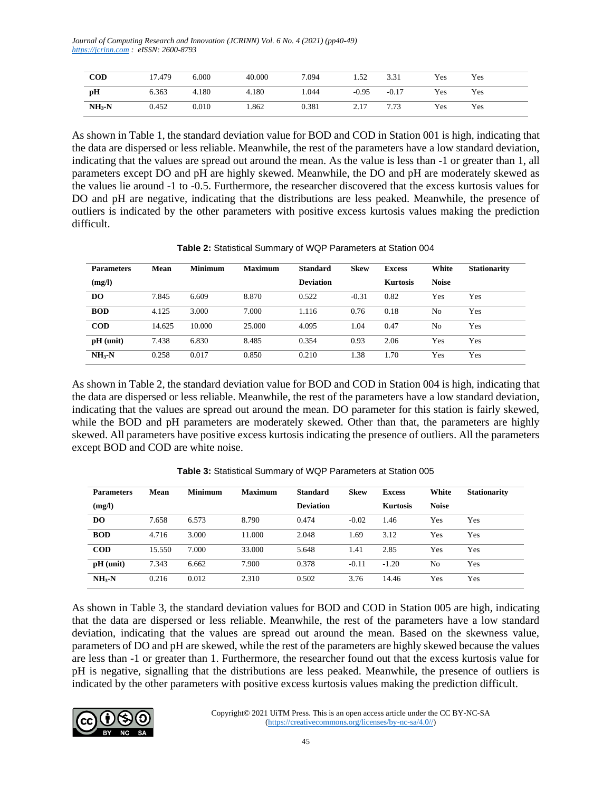*Journal of Computing Research and Innovation (JCRINN) Vol. 6 No. 4 (2021) (pp40-49) [https://jcrinn.com](https://jcrinn.com/) : eISSN: 2600-8793*

| $\bf{COD}$ | 1.479 | 6.000 | 40.000 | 7.094 | 1.52    | 3.31    | Yes | Yes |  |
|------------|-------|-------|--------|-------|---------|---------|-----|-----|--|
| pH         | 6.363 | 4.180 | 4.180  | 1.044 | $-0.95$ | $-0.17$ | Yes | Yes |  |
| $NH3-N$    | 0.452 | 0.010 | .862   | 0.381 | 2.17    | 7.73    | Yes | Yes |  |

As shown in Table 1, the standard deviation value for BOD and COD in Station 001 is high, indicating that the data are dispersed or less reliable. Meanwhile, the rest of the parameters have a low standard deviation, indicating that the values are spread out around the mean. As the value is less than -1 or greater than 1, all parameters except DO and pH are highly skewed. Meanwhile, the DO and pH are moderately skewed as the values lie around -1 to -0.5. Furthermore, the researcher discovered that the excess kurtosis values for DO and pH are negative, indicating that the distributions are less peaked. Meanwhile, the presence of outliers is indicated by the other parameters with positive excess kurtosis values making the prediction difficult.

| <b>Parameters</b> | Mean   | <b>Minimum</b> | <b>Maximum</b> | <b>Standard</b>  | <b>Skew</b> | <b>Excess</b>   | White        | <b>Stationarity</b> |
|-------------------|--------|----------------|----------------|------------------|-------------|-----------------|--------------|---------------------|
| (mg/l)            |        |                |                | <b>Deviation</b> |             | <b>Kurtosis</b> | <b>Noise</b> |                     |
| <b>DO</b>         | 7.845  | 6.609          | 8.870          | 0.522            | $-0.31$     | 0.82            | Yes          | Yes                 |
| <b>BOD</b>        | 4.125  | 3.000          | 7.000          | 1.116            | 0.76        | 0.18            | No           | Yes                 |
| <b>COD</b>        | 14.625 | 10.000         | 25,000         | 4.095            | 1.04        | 0.47            | No           | Yes                 |
| $pH$ (unit)       | 7.438  | 6.830          | 8.485          | 0.354            | 0.93        | 2.06            | Yes          | Yes                 |
| $NH_{3}-N$        | 0.258  | 0.017          | 0.850          | 0.210            | 1.38        | 1.70            | Yes          | Yes                 |

**Table 2:** Statistical Summary of WQP Parameters at Station 004

As shown in Table 2, the standard deviation value for BOD and COD in Station 004 is high, indicating that the data are dispersed or less reliable. Meanwhile, the rest of the parameters have a low standard deviation, indicating that the values are spread out around the mean. DO parameter for this station is fairly skewed, while the BOD and pH parameters are moderately skewed. Other than that, the parameters are highly skewed. All parameters have positive excess kurtosis indicating the presence of outliers. All the parameters except BOD and COD are white noise.

| <b>Parameters</b> | Mean   | <b>Minimum</b> | <b>Maximum</b> | <b>Standard</b>  | <b>Skew</b> | <b>Excess</b>   | White          | <b>Stationarity</b> |
|-------------------|--------|----------------|----------------|------------------|-------------|-----------------|----------------|---------------------|
| (mg/l)            |        |                |                | <b>Deviation</b> |             | <b>Kurtosis</b> | <b>Noise</b>   |                     |
| D <sub>O</sub>    | 7.658  | 6.573          | 8.790          | 0.474            | $-0.02$     | 1.46            | Yes            | Yes                 |
| <b>BOD</b>        | 4.716  | 3.000          | 11.000         | 2.048            | 1.69        | 3.12            | Yes            | Yes                 |
| <b>COD</b>        | 15.550 | 7.000          | 33,000         | 5.648            | 1.41        | 2.85            | Yes            | Yes                 |
| $pH$ (unit)       | 7.343  | 6.662          | 7.900          | 0.378            | $-0.11$     | $-1.20$         | N <sub>o</sub> | Yes                 |
| $NH3-N$           | 0.216  | 0.012          | 2.310          | 0.502            | 3.76        | 14.46           | Yes            | Yes                 |

| Table 3: Statistical Summary of WQP Parameters at Station 005 |
|---------------------------------------------------------------|
|---------------------------------------------------------------|

As shown in Table 3, the standard deviation values for BOD and COD in Station 005 are high, indicating that the data are dispersed or less reliable. Meanwhile, the rest of the parameters have a low standard deviation, indicating that the values are spread out around the mean. Based on the skewness value, parameters of DO and pH are skewed, while the rest of the parameters are highly skewed because the values are less than -1 or greater than 1. Furthermore, the researcher found out that the excess kurtosis value for pH is negative, signalling that the distributions are less peaked. Meanwhile, the presence of outliers is indicated by the other parameters with positive excess kurtosis values making the prediction difficult.

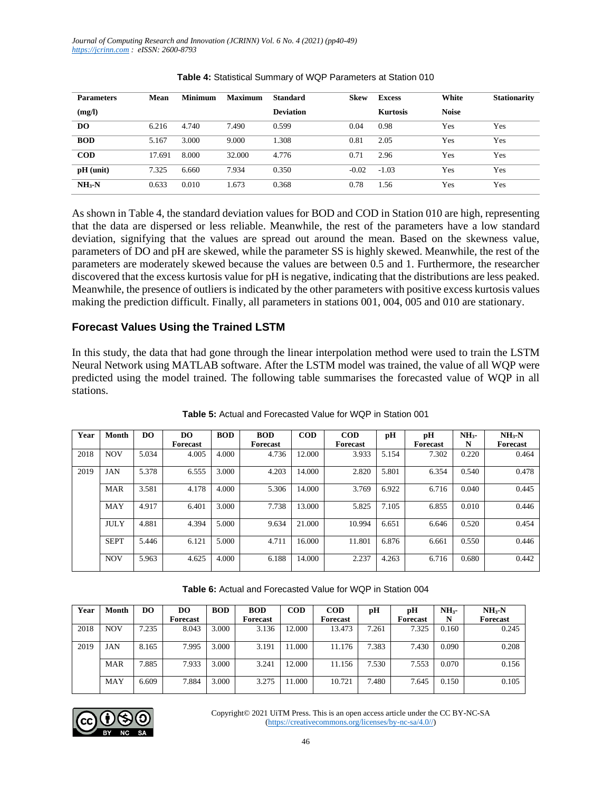| <b>Parameters</b> | Mean   | <b>Minimum</b> | <b>Maximum</b> | <b>Standard</b>  | <b>Skew</b> | <b>Excess</b>   | White        | <b>Stationarity</b> |
|-------------------|--------|----------------|----------------|------------------|-------------|-----------------|--------------|---------------------|
| (mg/l)            |        |                |                | <b>Deviation</b> |             | <b>Kurtosis</b> | <b>Noise</b> |                     |
| DO.               | 6.216  | 4.740          | 7.490          | 0.599            | 0.04        | 0.98            | Yes          | Yes                 |
| <b>BOD</b>        | 5.167  | 3.000          | 9.000          | 1.308            | 0.81        | 2.05            | Yes          | Yes                 |
| <b>COD</b>        | 17.691 | 8.000          | 32,000         | 4.776            | 0.71        | 2.96            | Yes          | Yes                 |
| $pH$ (unit)       | 7.325  | 6.660          | 7.934          | 0.350            | $-0.02$     | $-1.03$         | Yes          | Yes                 |
| $NH3-N$           | 0.633  | 0.010          | 1.673          | 0.368            | 0.78        | 1.56            | Yes          | Yes                 |

As shown in Table 4, the standard deviation values for BOD and COD in Station 010 are high, representing that the data are dispersed or less reliable. Meanwhile, the rest of the parameters have a low standard deviation, signifying that the values are spread out around the mean. Based on the skewness value, parameters of DO and pH are skewed, while the parameter SS is highly skewed. Meanwhile, the rest of the parameters are moderately skewed because the values are between 0.5 and 1. Furthermore, the researcher discovered that the excess kurtosis value for pH is negative, indicating that the distributions are less peaked. Meanwhile, the presence of outliers is indicated by the other parameters with positive excess kurtosis values making the prediction difficult. Finally, all parameters in stations 001, 004, 005 and 010 are stationary.

#### **Forecast Values Using the Trained LSTM**

In this study, the data that had gone through the linear interpolation method were used to train the LSTM Neural Network using MATLAB software. After the LSTM model was trained, the value of all WQP were predicted using the model trained. The following table summarises the forecasted value of WQP in all stations.

| Year | <b>Month</b> | D <sub>O</sub> | DO<br>Forecast | <b>BOD</b> | <b>BOD</b><br>Forecast | <b>COD</b> | <b>COD</b><br>Forecast | pH    | рH<br><b>Forecast</b> | NH <sub>3</sub><br>N | $NH_{3}-N$<br>Forecast |
|------|--------------|----------------|----------------|------------|------------------------|------------|------------------------|-------|-----------------------|----------------------|------------------------|
|      |              |                |                |            |                        |            |                        |       |                       |                      |                        |
| 2018 | <b>NOV</b>   | 5.034          | 4.005          | 4.000      | 4.736                  | 12.000     | 3.933                  | 5.154 | 7.302                 | 0.220                | 0.464                  |
| 2019 | <b>JAN</b>   | 5.378          | 6.555          | 3.000      | 4.203                  | 14.000     | 2.820                  | 5.801 | 6.354                 | 0.540                | 0.478                  |
|      | <b>MAR</b>   | 3.581          | 4.178          | 4.000      | 5.306                  | 14.000     | 3.769                  | 6.922 | 6.716                 | 0.040                | 0.445                  |
|      | <b>MAY</b>   | 4.917          | 6.401          | 3.000      | 7.738                  | 13.000     | 5.825                  | 7.105 | 6.855                 | 0.010                | 0.446                  |
|      | <b>JULY</b>  | 4.881          | 4.394          | 5.000      | 9.634                  | 21.000     | 10.994                 | 6.651 | 6.646                 | 0.520                | 0.454                  |
|      | <b>SEPT</b>  | 5.446          | 6.121          | 5.000      | 4.711                  | 16.000     | 11.801                 | 6.876 | 6.661                 | 0.550                | 0.446                  |
|      | <b>NOV</b>   | 5.963          | 4.625          | 4.000      | 6.188                  | 14.000     | 2.237                  | 4.263 | 6.716                 | 0.680                | 0.442                  |

**Table 5:** Actual and Forecasted Value for WQP in Station 001

**Table 6:** Actual and Forecasted Value for WQP in Station 004

| Year | Month      | DO    | DO       | <b>BOD</b> | <b>BOD</b>      | $\mathbf{COD}$ | <b>COD</b> | рH    | рH       | NH <sub>3</sub> | $NH3-N$  |
|------|------------|-------|----------|------------|-----------------|----------------|------------|-------|----------|-----------------|----------|
|      |            |       | Forecast |            | <b>Forecast</b> |                | Forecast   |       | Forecast | N               | Forecast |
| 2018 | <b>NOV</b> | 7.235 | 8.043    | 3.000      | 3.136           | 12.000         | 13.473     | 7.261 | 7.325    | 0.160           | 0.245    |
| 2019 | JAN        | 8.165 | 7.995    | 3.000      | 3.191           | 1.000          | 11.176     | 7.383 | 7.430    | 0.090           | 0.208    |
|      | <b>MAR</b> | 7.885 | 7.933    | 3.000      | 3.241           | 12.000         | 11.156     | 7.530 | 7.553    | 0.070           | 0.156    |
|      | <b>MAY</b> | 6.609 | .884     | 3.000      | 3.275           | 1.000          | 10.721     | 7.480 | 7.645    | 0.150           | 0.105    |

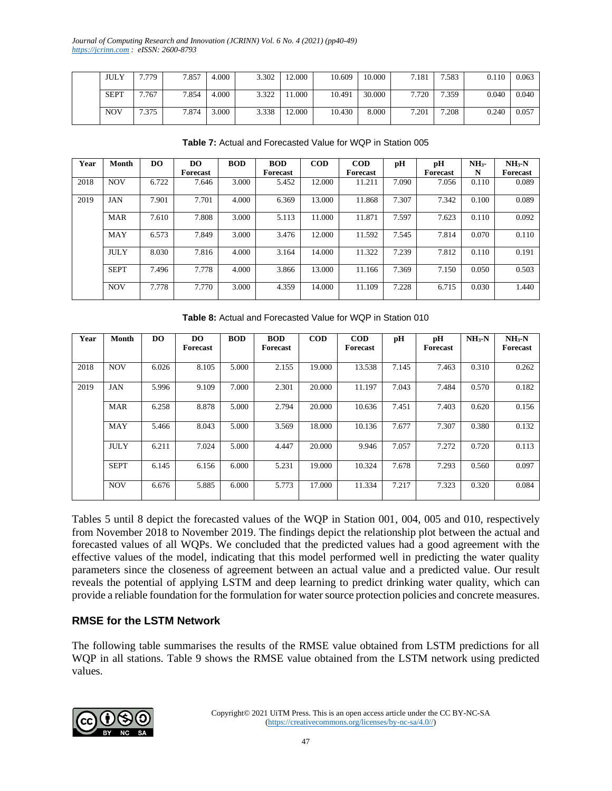| <b>JULY</b> | 7.779 | 7.857 | 4.000 | 3.302 | 12.000 | 10.609 | 10.000 | 7.181 | 7.583 | 0.110 | 0.063 |
|-------------|-------|-------|-------|-------|--------|--------|--------|-------|-------|-------|-------|
| <b>SEPT</b> | 7.767 | 7.854 | 4.000 | 3.322 | .000.  | 10.491 | 30.000 | 7.720 | 7.359 | 0.040 | 0.040 |
| <b>NOV</b>  | 7.375 | 7.874 | 3.000 | 3.338 | 12.000 | 10.430 | 8.000  | 7.201 | 7.208 | 0.240 | 0.057 |

| Year | Month       | D <sub>O</sub> | DO.      | <b>BOD</b> | <b>BOD</b> | <b>COD</b> | <b>COD</b> | pН    | pH       | NH <sub>3</sub> | $NH3-N$         |
|------|-------------|----------------|----------|------------|------------|------------|------------|-------|----------|-----------------|-----------------|
|      |             |                | Forecast |            | Forecast   |            | Forecast   |       | Forecast | N               | <b>Forecast</b> |
| 2018 | <b>NOV</b>  | 6.722          | 7.646    | 3.000      | 5.452      | 12.000     | 11.211     | 7.090 | 7.056    | 0.110           | 0.089           |
| 2019 | <b>JAN</b>  | 7.901          | 7.701    | 4.000      | 6.369      | 13.000     | 11.868     | 7.307 | 7.342    | 0.100           | 0.089           |
|      | <b>MAR</b>  | 7.610          | 7.808    | 3.000      | 5.113      | 11.000     | 11.871     | 7.597 | 7.623    | 0.110           | 0.092           |
|      | MAY         | 6.573          | 7.849    | 3.000      | 3.476      | 12.000     | 11.592     | 7.545 | 7.814    | 0.070           | 0.110           |
|      | <b>JULY</b> | 8.030          | 7.816    | 4.000      | 3.164      | 14.000     | 11.322     | 7.239 | 7.812    | 0.110           | 0.191           |
|      | <b>SEPT</b> | 7.496          | 7.778    | 4.000      | 3.866      | 13.000     | 11.166     | 7.369 | 7.150    | 0.050           | 0.503           |
|      | <b>NOV</b>  | 7.778          | 7.770    | 3.000      | 4.359      | 14.000     | 11.109     | 7.228 | 6.715    | 0.030           | 1.440           |

**Table 7:** Actual and Forecasted Value for WQP in Station 005

**Table 8:** Actual and Forecasted Value for WQP in Station 010

| Year | <b>Month</b> | D <sub>O</sub> | DO<br>Forecast | <b>BOD</b> | <b>BOD</b><br>Forecast | $\mathbf{COD}$ | <b>COD</b><br>Forecast | pН    | рH<br>Forecast | $NH3-N$ | $NH3-N$<br>Forecast |
|------|--------------|----------------|----------------|------------|------------------------|----------------|------------------------|-------|----------------|---------|---------------------|
| 2018 | <b>NOV</b>   | 6.026          | 8.105          | 5.000      | 2.155                  | 19.000         | 13.538                 | 7.145 | 7.463          | 0.310   | 0.262               |
| 2019 | <b>JAN</b>   | 5.996          | 9.109          | 7.000      | 2.301                  | 20.000         | 11.197                 | 7.043 | 7.484          | 0.570   | 0.182               |
|      | <b>MAR</b>   | 6.258          | 8.878          | 5.000      | 2.794                  | 20.000         | 10.636                 | 7.451 | 7.403          | 0.620   | 0.156               |
|      | MAY          | 5.466          | 8.043          | 5.000      | 3.569                  | 18.000         | 10.136                 | 7.677 | 7.307          | 0.380   | 0.132               |
|      | <b>JULY</b>  | 6.211          | 7.024          | 5.000      | 4.447                  | 20.000         | 9.946                  | 7.057 | 7.272          | 0.720   | 0.113               |
|      | <b>SEPT</b>  | 6.145          | 6.156          | 6.000      | 5.231                  | 19.000         | 10.324                 | 7.678 | 7.293          | 0.560   | 0.097               |
|      | <b>NOV</b>   | 6.676          | 5.885          | 6.000      | 5.773                  | 17.000         | 11.334                 | 7.217 | 7.323          | 0.320   | 0.084               |

Tables 5 until 8 depict the forecasted values of the WQP in Station 001, 004, 005 and 010, respectively from November 2018 to November 2019. The findings depict the relationship plot between the actual and forecasted values of all WQPs. We concluded that the predicted values had a good agreement with the effective values of the model, indicating that this model performed well in predicting the water quality parameters since the closeness of agreement between an actual value and a predicted value. Our result reveals the potential of applying LSTM and deep learning to predict drinking water quality, which can provide a reliable foundation for the formulation for water source protection policies and concrete measures.

## **RMSE for the LSTM Network**

The following table summarises the results of the RMSE value obtained from LSTM predictions for all WQP in all stations. Table 9 shows the RMSE value obtained from the LSTM network using predicted values.

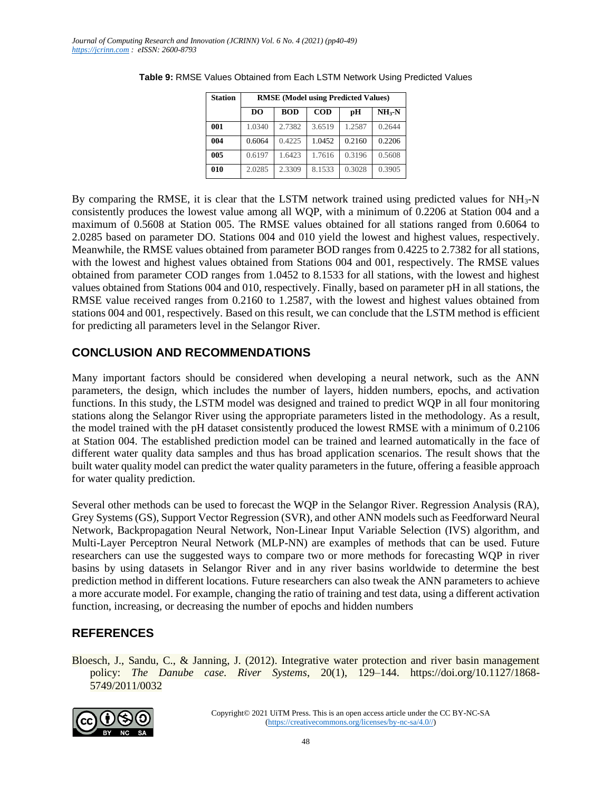| <b>Station</b> | <b>RMSE</b> (Model using Predicted Values) |            |            |        |                    |  |  |  |
|----------------|--------------------------------------------|------------|------------|--------|--------------------|--|--|--|
|                | D <sub>O</sub>                             | <b>BOD</b> | <b>COD</b> | рH     | NH <sub>3</sub> -N |  |  |  |
| 001            | 1.0340                                     | 2.7382     | 3.6519     | 1.2587 | 0.2644             |  |  |  |
| 004            | 0.6064                                     | 0.4225     | 1.0452     | 0.2160 | 0.2206             |  |  |  |
| 005            | 0.6197                                     | 1.6423     | 1.7616     | 0.3196 | 0.5608             |  |  |  |
| 010            | 2.0285                                     | 2.3309     | 8.1533     | 0.3028 | 0.3905             |  |  |  |

| <b>Table 9: RMSE Values Obtained from Each LSTM Network Using Predicted Values</b> |  |  |
|------------------------------------------------------------------------------------|--|--|
|                                                                                    |  |  |

By comparing the RMSE, it is clear that the LSTM network trained using predicted values for  $NH<sub>3</sub>-N$ consistently produces the lowest value among all WQP, with a minimum of 0.2206 at Station 004 and a maximum of 0.5608 at Station 005. The RMSE values obtained for all stations ranged from 0.6064 to 2.0285 based on parameter DO. Stations 004 and 010 yield the lowest and highest values, respectively. Meanwhile, the RMSE values obtained from parameter BOD ranges from 0.4225 to 2.7382 for all stations, with the lowest and highest values obtained from Stations 004 and 001, respectively. The RMSE values obtained from parameter COD ranges from 1.0452 to 8.1533 for all stations, with the lowest and highest values obtained from Stations 004 and 010, respectively. Finally, based on parameter pH in all stations, the RMSE value received ranges from 0.2160 to 1.2587, with the lowest and highest values obtained from stations 004 and 001, respectively. Based on this result, we can conclude that the LSTM method is efficient for predicting all parameters level in the Selangor River.

## **CONCLUSION AND RECOMMENDATIONS**

Many important factors should be considered when developing a neural network, such as the ANN parameters, the design, which includes the number of layers, hidden numbers, epochs, and activation functions. In this study, the LSTM model was designed and trained to predict WQP in all four monitoring stations along the Selangor River using the appropriate parameters listed in the methodology. As a result, the model trained with the pH dataset consistently produced the lowest RMSE with a minimum of 0.2106 at Station 004. The established prediction model can be trained and learned automatically in the face of different water quality data samples and thus has broad application scenarios. The result shows that the built water quality model can predict the water quality parameters in the future, offering a feasible approach for water quality prediction.

Several other methods can be used to forecast the WQP in the Selangor River. Regression Analysis (RA), Grey Systems (GS), Support Vector Regression (SVR), and other ANN models such as Feedforward Neural Network, Backpropagation Neural Network, Non-Linear Input Variable Selection (IVS) algorithm, and Multi-Layer Perceptron Neural Network (MLP-NN) are examples of methods that can be used. Future researchers can use the suggested ways to compare two or more methods for forecasting WQP in river basins by using datasets in Selangor River and in any river basins worldwide to determine the best prediction method in different locations. Future researchers can also tweak the ANN parameters to achieve a more accurate model. For example, changing the ratio of training and test data, using a different activation function, increasing, or decreasing the number of epochs and hidden numbers

# **REFERENCES**

Bloesch, J., Sandu, C., & Janning, J. (2012). Integrative water protection and river basin management policy: *The Danube case. River Systems*, 20(1), 129–144. https://doi.org/10.1127/1868- 5749/2011/0032